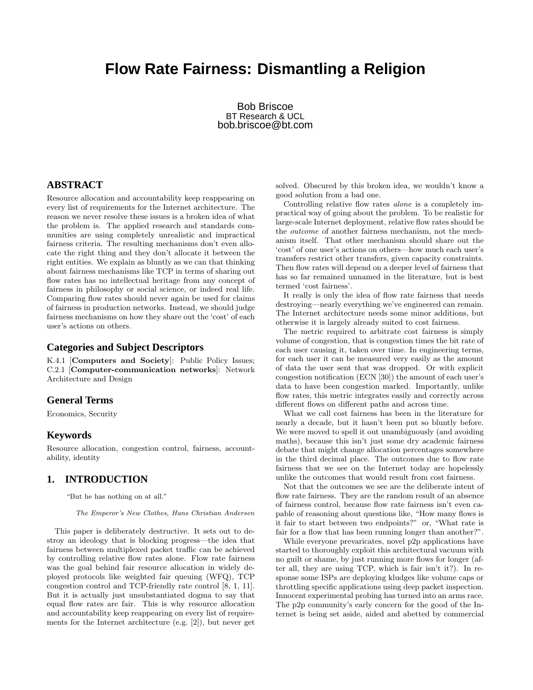# **Flow Rate Fairness: Dismantling a Religion**

Bob Briscoe BT Research & UCL bob.briscoe@bt.com

# **ABSTRACT**

Resource allocation and accountability keep reappearing on every list of requirements for the Internet architecture. The reason we never resolve these issues is a broken idea of what the problem is. The applied research and standards communities are using completely unrealistic and impractical fairness criteria. The resulting mechanisms don't even allocate the right thing and they don't allocate it between the right entities. We explain as bluntly as we can that thinking about fairness mechanisms like TCP in terms of sharing out flow rates has no intellectual heritage from any concept of fairness in philosophy or social science, or indeed real life. Comparing flow rates should never again be used for claims of fairness in production networks. Instead, we should judge fairness mechanisms on how they share out the 'cost' of each user's actions on others.

## **Categories and Subject Descriptors**

K.4.1 [Computers and Society]: Public Policy Issues; C.2.1 [Computer-communication networks]: Network Architecture and Design

## **General Terms**

Economics, Security

## **Keywords**

Resource allocation, congestion control, fairness, accountability, identity

# **1. INTRODUCTION**

"But he has nothing on at all."

The Emperor's New Clothes, Hans Christian Andersen

This paper is deliberately destructive. It sets out to destroy an ideology that is blocking progress—the idea that fairness between multiplexed packet traffic can be achieved by controlling relative flow rates alone. Flow rate fairness was the goal behind fair resource allocation in widely deployed protocols like weighted fair queuing (WFQ), TCP congestion control and TCP-friendly rate control [8, 1, 11]. But it is actually just unsubstantiated dogma to say that equal flow rates are fair. This is why resource allocation and accountability keep reappearing on every list of requirements for the Internet architecture (e.g. [2]), but never get solved. Obscured by this broken idea, we wouldn't know a good solution from a bad one.

Controlling relative flow rates alone is a completely impractical way of going about the problem. To be realistic for large-scale Internet deployment, relative flow rates should be the outcome of another fairness mechanism, not the mechanism itself. That other mechanism should share out the 'cost' of one user's actions on others—how much each user's transfers restrict other transfers, given capacity constraints. Then flow rates will depend on a deeper level of fairness that has so far remained unnamed in the literature, but is best termed 'cost fairness'.

It really is only the idea of flow rate fairness that needs destroying—nearly everything we've engineered can remain. The Internet architecture needs some minor additions, but otherwise it is largely already suited to cost fairness.

The metric required to arbitrate cost fairness is simply volume of congestion, that is congestion times the bit rate of each user causing it, taken over time. In engineering terms, for each user it can be measured very easily as the amount of data the user sent that was dropped. Or with explicit congestion notification (ECN [30]) the amount of each user's data to have been congestion marked. Importantly, unlike flow rates, this metric integrates easily and correctly across different flows on different paths and across time.

What we call cost fairness has been in the literature for nearly a decade, but it hasn't been put so bluntly before. We were moved to spell it out unambiguously (and avoiding maths), because this isn't just some dry academic fairness debate that might change allocation percentages somewhere in the third decimal place. The outcomes due to flow rate fairness that we see on the Internet today are hopelessly unlike the outcomes that would result from cost fairness.

Not that the outcomes we see are the deliberate intent of flow rate fairness. They are the random result of an absence of fairness control, because flow rate fairness isn't even capable of reasoning about questions like, "How many flows is it fair to start between two endpoints?" or, "What rate is fair for a flow that has been running longer than another?".

While everyone prevaricates, novel p2p applications have started to thoroughly exploit this architectural vacuum with no guilt or shame, by just running more flows for longer (after all, they are using TCP, which is fair isn't it?). In response some ISPs are deploying kludges like volume caps or throttling specific applications using deep packet inspection. Innocent experimental probing has turned into an arms race. The p2p community's early concern for the good of the Internet is being set aside, aided and abetted by commercial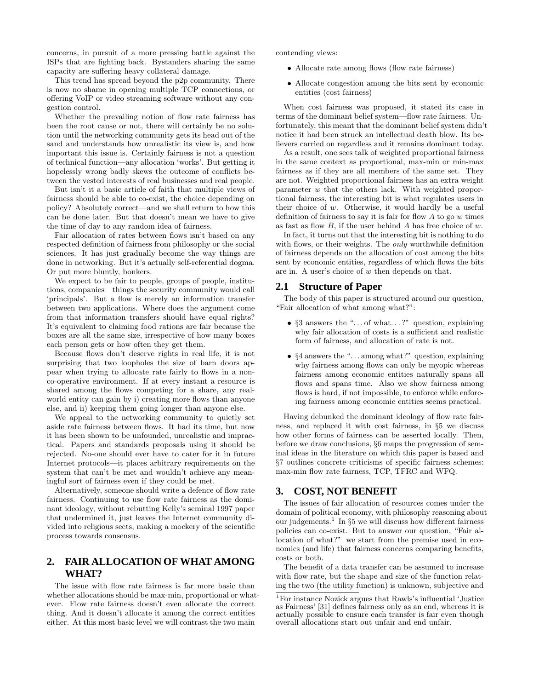concerns, in pursuit of a more pressing battle against the ISPs that are fighting back. Bystanders sharing the same capacity are suffering heavy collateral damage.

This trend has spread beyond the p2p community. There is now no shame in opening multiple TCP connections, or offering VoIP or video streaming software without any congestion control.

Whether the prevailing notion of flow rate fairness has been the root cause or not, there will certainly be no solution until the networking community gets its head out of the sand and understands how unrealistic its view is, and how important this issue is. Certainly fairness is not a question of technical function—any allocation 'works'. But getting it hopelessly wrong badly skews the outcome of conflicts between the vested interests of real businesses and real people.

But isn't it a basic article of faith that multiple views of fairness should be able to co-exist, the choice depending on policy? Absolutely correct—and we shall return to how this can be done later. But that doesn't mean we have to give the time of day to any random idea of fairness.

Fair allocation of rates between flows isn't based on any respected definition of fairness from philosophy or the social sciences. It has just gradually become the way things are done in networking. But it's actually self-referential dogma. Or put more bluntly, bonkers.

We expect to be fair to people, groups of people, institutions, companies—things the security community would call 'principals'. But a flow is merely an information transfer between two applications. Where does the argument come from that information transfers should have equal rights? It's equivalent to claiming food rations are fair because the boxes are all the same size, irrespective of how many boxes each person gets or how often they get them.

Because flows don't deserve rights in real life, it is not surprising that two loopholes the size of barn doors appear when trying to allocate rate fairly to flows in a nonco-operative environment. If at every instant a resource is shared among the flows competing for a share, any realworld entity can gain by i) creating more flows than anyone else, and ii) keeping them going longer than anyone else.

We appeal to the networking community to quietly set aside rate fairness between flows. It had its time, but now it has been shown to be unfounded, unrealistic and impractical. Papers and standards proposals using it should be rejected. No-one should ever have to cater for it in future Internet protocols—it places arbitrary requirements on the system that can't be met and wouldn't achieve any meaningful sort of fairness even if they could be met.

Alternatively, someone should write a defence of flow rate fairness. Continuing to use flow rate fairness as the dominant ideology, without rebutting Kelly's seminal 1997 paper that undermined it, just leaves the Internet community divided into religious sects, making a mockery of the scientific process towards consensus.

## **2. FAIR ALLOCATION OF WHAT AMONG WHAT?**

The issue with flow rate fairness is far more basic than whether allocations should be max-min, proportional or whatever. Flow rate fairness doesn't even allocate the correct thing. And it doesn't allocate it among the correct entities either. At this most basic level we will contrast the two main

contending views:

- Allocate rate among flows (flow rate fairness)
- Allocate congestion among the bits sent by economic entities (cost fairness)

When cost fairness was proposed, it stated its case in terms of the dominant belief system—flow rate fairness. Unfortunately, this meant that the dominant belief system didn't notice it had been struck an intellectual death blow. Its believers carried on regardless and it remains dominant today.

As a result, one sees talk of weighted proportional fairness in the same context as proportional, max-min or min-max fairness as if they are all members of the same set. They are not. Weighted proportional fairness has an extra weight parameter w that the others lack. With weighted proportional fairness, the interesting bit is what regulates users in their choice of w. Otherwise, it would hardly be a useful definition of fairness to say it is fair for flow  $A$  to go  $w$  times as fast as flow  $B$ , if the user behind  $A$  has free choice of  $w$ .

In fact, it turns out that the interesting bit is nothing to do with flows, or their weights. The only worthwhile definition of fairness depends on the allocation of cost among the bits sent by economic entities, regardless of which flows the bits are in. A user's choice of w then depends on that.

#### **2.1 Structure of Paper**

The body of this paper is structured around our question, "Fair allocation of what among what?":

- $\S 3$  answers the "... of what...?" question, explaining why fair allocation of costs is a sufficient and realistic form of fairness, and allocation of rate is not.
- $§4$  answers the "... among what?" question, explaining why fairness among flows can only be myopic whereas fairness among economic entities naturally spans all flows and spans time. Also we show fairness among flows is hard, if not impossible, to enforce while enforcing fairness among economic entities seems practical.

Having debunked the dominant ideology of flow rate fairness, and replaced it with cost fairness, in §5 we discuss how other forms of fairness can be asserted locally. Then, before we draw conclusions, §6 maps the progression of seminal ideas in the literature on which this paper is based and §7 outlines concrete criticisms of specific fairness schemes: max-min flow rate fairness, TCP, TFRC and WFQ.

## **3. COST, NOT BENEFIT**

The issues of fair allocation of resources comes under the domain of political economy, with philosophy reasoning about our judgements.<sup>1</sup> In §5 we will discuss how different fairness policies can co-exist. But to answer our question, "Fair allocation of what?" we start from the premise used in economics (and life) that fairness concerns comparing benefits, costs or both.

The benefit of a data transfer can be assumed to increase with flow rate, but the shape and size of the function relating the two (the utility function) is unknown, subjective and

<sup>1</sup>For instance Nozick argues that Rawls's influential 'Justice as Fairness' [31] defines fairness only as an end, whereas it is actually possible to ensure each transfer is fair even though overall allocations start out unfair and end unfair.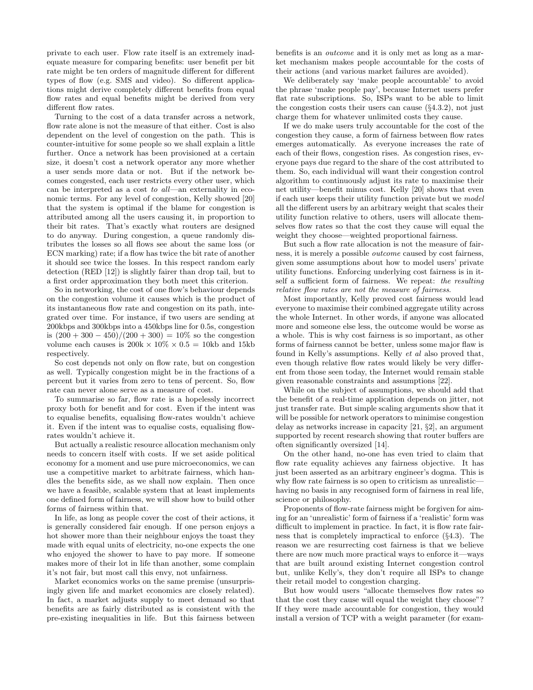private to each user. Flow rate itself is an extremely inadequate measure for comparing benefits: user benefit per bit rate might be ten orders of magnitude different for different types of flow (e.g. SMS and video). So different applications might derive completely different benefits from equal flow rates and equal benefits might be derived from very different flow rates.

Turning to the cost of a data transfer across a network, flow rate alone is not the measure of that either. Cost is also dependent on the level of congestion on the path. This is counter-intuitive for some people so we shall explain a little further. Once a network has been provisioned at a certain size, it doesn't cost a network operator any more whether a user sends more data or not. But if the network becomes congested, each user restricts every other user, which can be interpreted as a cost to all—an externality in economic terms. For any level of congestion, Kelly showed [20] that the system is optimal if the blame for congestion is attributed among all the users causing it, in proportion to their bit rates. That's exactly what routers are designed to do anyway. During congestion, a queue randomly distributes the losses so all flows see about the same loss (or ECN marking) rate; if a flow has twice the bit rate of another it should see twice the losses. In this respect random early detection (RED [12]) is slightly fairer than drop tail, but to a first order approximation they both meet this criterion.

So in networking, the cost of one flow's behaviour depends on the congestion volume it causes which is the product of its instantaneous flow rate and congestion on its path, integrated over time. For instance, if two users are sending at 200kbps and 300kbps into a 450kbps line for 0.5s, congestion is  $(200 + 300 - 450)/(200 + 300) = 10\%$  so the congestion volume each causes is  $200k \times 10\% \times 0.5 = 10kb$  and 15kb respectively.

So cost depends not only on flow rate, but on congestion as well. Typically congestion might be in the fractions of a percent but it varies from zero to tens of percent. So, flow rate can never alone serve as a measure of cost.

To summarise so far, flow rate is a hopelessly incorrect proxy both for benefit and for cost. Even if the intent was to equalise benefits, equalising flow-rates wouldn't achieve it. Even if the intent was to equalise costs, equalising flowrates wouldn't achieve it.

But actually a realistic resource allocation mechanism only needs to concern itself with costs. If we set aside political economy for a moment and use pure microeconomics, we can use a competitive market to arbitrate fairness, which handles the benefits side, as we shall now explain. Then once we have a feasible, scalable system that at least implements one defined form of fairness, we will show how to build other forms of fairness within that.

In life, as long as people cover the cost of their actions, it is generally considered fair enough. If one person enjoys a hot shower more than their neighbour enjoys the toast they made with equal units of electricity, no-one expects the one who enjoyed the shower to have to pay more. If someone makes more of their lot in life than another, some complain it's not fair, but most call this envy, not unfairness.

Market economics works on the same premise (unsurprisingly given life and market economics are closely related). In fact, a market adjusts supply to meet demand so that benefits are as fairly distributed as is consistent with the pre-existing inequalities in life. But this fairness between benefits is an outcome and it is only met as long as a market mechanism makes people accountable for the costs of their actions (and various market failures are avoided).

We deliberately say 'make people accountable' to avoid the phrase 'make people pay', because Internet users prefer flat rate subscriptions. So, ISPs want to be able to limit the congestion costs their users can cause  $(\S 4.3.2)$ , not just charge them for whatever unlimited costs they cause.

If we do make users truly accountable for the cost of the congestion they cause, a form of fairness between flow rates emerges automatically. As everyone increases the rate of each of their flows, congestion rises. As congestion rises, everyone pays due regard to the share of the cost attributed to them. So, each individual will want their congestion control algorithm to continuously adjust its rate to maximise their net utility—benefit minus cost. Kelly [20] shows that even if each user keeps their utility function private but we model all the different users by an arbitrary weight that scales their utility function relative to others, users will allocate themselves flow rates so that the cost they cause will equal the weight they choose—weighted proportional fairness.

But such a flow rate allocation is not the measure of fairness, it is merely a possible outcome caused by cost fairness, given some assumptions about how to model users' private utility functions. Enforcing underlying cost fairness is in itself a sufficient form of fairness. We repeat: the resulting relative flow rates are not the measure of fairness.

Most importantly, Kelly proved cost fairness would lead everyone to maximise their combined aggregate utility across the whole Internet. In other words, if anyone was allocated more and someone else less, the outcome would be worse as a whole. This is why cost fairness is so important, as other forms of fairness cannot be better, unless some major flaw is found in Kelly's assumptions. Kelly et al also proved that, even though relative flow rates would likely be very different from those seen today, the Internet would remain stable given reasonable constraints and assumptions [22].

While on the subject of assumptions, we should add that the benefit of a real-time application depends on jitter, not just transfer rate. But simple scaling arguments show that it will be possible for network operators to minimise congestion delay as networks increase in capacity [21, §2], an argument supported by recent research showing that router buffers are often significantly oversized [14].

On the other hand, no-one has even tried to claim that flow rate equality achieves any fairness objective. It has just been asserted as an arbitrary engineer's dogma. This is why flow rate fairness is so open to criticism as unrealistic having no basis in any recognised form of fairness in real life, science or philosophy.

Proponents of flow-rate fairness might be forgiven for aiming for an 'unrealistic' form of fairness if a 'realistic' form was difficult to implement in practice. In fact, it is flow rate fairness that is completely impractical to enforce (§4.3). The reason we are resurrecting cost fairness is that we believe there are now much more practical ways to enforce it—ways that are built around existing Internet congestion control but, unlike Kelly's, they don't require all ISPs to change their retail model to congestion charging.

But how would users "allocate themselves flow rates so that the cost they cause will equal the weight they choose"? If they were made accountable for congestion, they would install a version of TCP with a weight parameter (for exam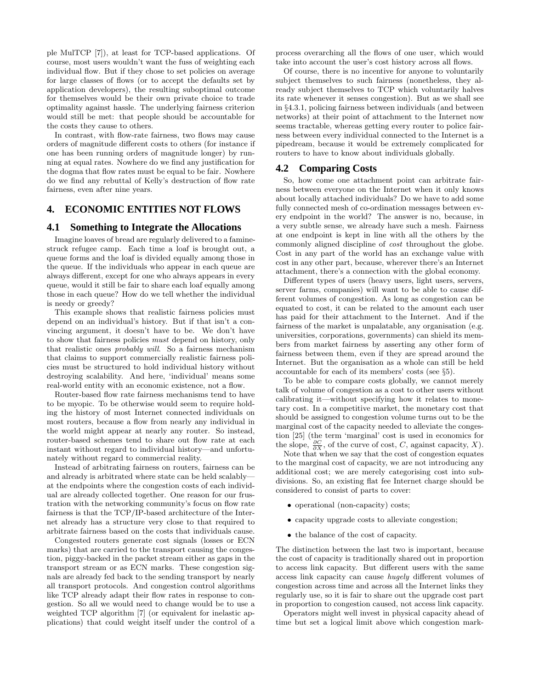ple MulTCP [7]), at least for TCP-based applications. Of course, most users wouldn't want the fuss of weighting each individual flow. But if they chose to set policies on average for large classes of flows (or to accept the defaults set by application developers), the resulting suboptimal outcome for themselves would be their own private choice to trade optimality against hassle. The underlying fairness criterion would still be met: that people should be accountable for the costs they cause to others.

In contrast, with flow-rate fairness, two flows may cause orders of magnitude different costs to others (for instance if one has been running orders of magnitude longer) by running at equal rates. Nowhere do we find any justification for the dogma that flow rates must be equal to be fair. Nowhere do we find any rebuttal of Kelly's destruction of flow rate fairness, even after nine years.

## **4. ECONOMIC ENTITIES NOT FLOWS**

#### **4.1 Something to Integrate the Allocations**

Imagine loaves of bread are regularly delivered to a faminestruck refugee camp. Each time a loaf is brought out, a queue forms and the loaf is divided equally among those in the queue. If the individuals who appear in each queue are always different, except for one who always appears in every queue, would it still be fair to share each loaf equally among those in each queue? How do we tell whether the individual is needy or greedy?

This example shows that realistic fairness policies must depend on an individual's history. But if that isn't a convincing argument, it doesn't have to be. We don't have to show that fairness policies must depend on history, only that realistic ones probably will. So a fairness mechanism that claims to support commercially realistic fairness policies must be structured to hold individual history without destroying scalability. And here, 'individual' means some real-world entity with an economic existence, not a flow.

Router-based flow rate fairness mechanisms tend to have to be myopic. To be otherwise would seem to require holding the history of most Internet connected individuals on most routers, because a flow from nearly any individual in the world might appear at nearly any router. So instead, router-based schemes tend to share out flow rate at each instant without regard to individual history—and unfortunately without regard to commercial reality.

Instead of arbitrating fairness on routers, fairness can be and already is arbitrated where state can be held scalably at the endpoints where the congestion costs of each individual are already collected together. One reason for our frustration with the networking community's focus on flow rate fairness is that the TCP/IP-based architecture of the Internet already has a structure very close to that required to arbitrate fairness based on the costs that individuals cause.

Congested routers generate cost signals (losses or ECN marks) that are carried to the transport causing the congestion, piggy-backed in the packet stream either as gaps in the transport stream or as ECN marks. These congestion signals are already fed back to the sending transport by nearly all transport protocols. And congestion control algorithms like TCP already adapt their flow rates in response to congestion. So all we would need to change would be to use a weighted TCP algorithm [7] (or equivalent for inelastic applications) that could weight itself under the control of a process overarching all the flows of one user, which would take into account the user's cost history across all flows.

Of course, there is no incentive for anyone to voluntarily subject themselves to such fairness (nonetheless, they already subject themselves to TCP which voluntarily halves its rate whenever it senses congestion). But as we shall see in §4.3.1, policing fairness between individuals (and between networks) at their point of attachment to the Internet now seems tractable, whereas getting every router to police fairness between every individual connected to the Internet is a pipedream, because it would be extremely complicated for routers to have to know about individuals globally.

#### **4.2 Comparing Costs**

So, how come one attachment point can arbitrate fairness between everyone on the Internet when it only knows about locally attached individuals? Do we have to add some fully connected mesh of co-ordination messages between every endpoint in the world? The answer is no, because, in a very subtle sense, we already have such a mesh. Fairness at one endpoint is kept in line with all the others by the commonly aligned discipline of cost throughout the globe. Cost in any part of the world has an exchange value with cost in any other part, because, wherever there's an Internet attachment, there's a connection with the global economy.

Different types of users (heavy users, light users, servers, server farms, companies) will want to be able to cause different volumes of congestion. As long as congestion can be equated to cost, it can be related to the amount each user has paid for their attachment to the Internet. And if the fairness of the market is unpalatable, any organisation (e.g. universities, corporations, governments) can shield its members from market fairness by asserting any other form of fairness between them, even if they are spread around the Internet. But the organisation as a whole can still be held accountable for each of its members' costs (see §5).

To be able to compare costs globally, we cannot merely talk of volume of congestion as a cost to other users without calibrating it—without specifying how it relates to monetary cost. In a competitive market, the monetary cost that should be assigned to congestion volume turns out to be the marginal cost of the capacity needed to alleviate the congestion [25] (the term 'marginal' cost is used in economics for the slope,  $\frac{\partial C}{\partial X}$ , of the curve of cost, C, against capacity, X).

Note that when we say that the cost of congestion equates to the marginal cost of capacity, we are not introducing any additional cost; we are merely categorising cost into subdivisions. So, an existing flat fee Internet charge should be considered to consist of parts to cover:

- operational (non-capacity) costs;
- capacity upgrade costs to alleviate congestion;
- the balance of the cost of capacity.

The distinction between the last two is important, because the cost of capacity is traditionally shared out in proportion to access link capacity. But different users with the same access link capacity can cause hugely different volumes of congestion across time and across all the Internet links they regularly use, so it is fair to share out the upgrade cost part in proportion to congestion caused, not access link capacity.

Operators might well invest in physical capacity ahead of time but set a logical limit above which congestion mark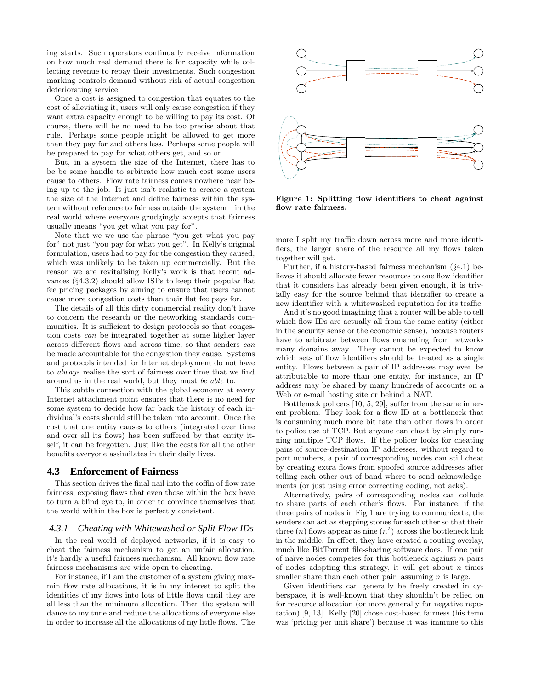ing starts. Such operators continually receive information on how much real demand there is for capacity while collecting revenue to repay their investments. Such congestion marking controls demand without risk of actual congestion deteriorating service.

Once a cost is assigned to congestion that equates to the cost of alleviating it, users will only cause congestion if they want extra capacity enough to be willing to pay its cost. Of course, there will be no need to be too precise about that rule. Perhaps some people might be allowed to get more than they pay for and others less. Perhaps some people will be prepared to pay for what others get, and so on.

But, in a system the size of the Internet, there has to be be some handle to arbitrate how much cost some users cause to others. Flow rate fairness comes nowhere near being up to the job. It just isn't realistic to create a system the size of the Internet and define fairness within the system without reference to fairness outside the system—in the real world where everyone grudgingly accepts that fairness usually means "you get what you pay for".

Note that we we use the phrase "you get what you pay for" not just "you pay for what you get". In Kelly's original formulation, users had to pay for the congestion they caused, which was unlikely to be taken up commercially. But the reason we are revitalising Kelly's work is that recent advances (§4.3.2) should allow ISPs to keep their popular flat fee pricing packages by aiming to ensure that users cannot cause more congestion costs than their flat fee pays for.

The details of all this dirty commercial reality don't have to concern the research or the networking standards communities. It is sufficient to design protocols so that congestion costs can be integrated together at some higher layer across different flows and across time, so that senders can be made accountable for the congestion they cause. Systems and protocols intended for Internet deployment do not have to always realise the sort of fairness over time that we find around us in the real world, but they must be able to.

This subtle connection with the global economy at every Internet attachment point ensures that there is no need for some system to decide how far back the history of each individual's costs should still be taken into account. Once the cost that one entity causes to others (integrated over time and over all its flows) has been suffered by that entity itself, it can be forgotten. Just like the costs for all the other benefits everyone assimilates in their daily lives.

#### **4.3 Enforcement of Fairness**

This section drives the final nail into the coffin of flow rate fairness, exposing flaws that even those within the box have to turn a blind eye to, in order to convince themselves that the world within the box is perfectly consistent.

#### *4.3.1 Cheating with Whitewashed or Split Flow IDs*

In the real world of deployed networks, if it is easy to cheat the fairness mechanism to get an unfair allocation, it's hardly a useful fairness mechanism. All known flow rate fairness mechanisms are wide open to cheating.

For instance, if I am the customer of a system giving maxmin flow rate allocations, it is in my interest to split the identities of my flows into lots of little flows until they are all less than the minimum allocation. Then the system will dance to my tune and reduce the allocations of everyone else in order to increase all the allocations of my little flows. The



Figure 1: Splitting flow identifiers to cheat against flow rate fairness.

more I split my traffic down across more and more identifiers, the larger share of the resource all my flows taken together will get.

Further, if a history-based fairness mechanism (§4.1) believes it should allocate fewer resources to one flow identifier that it considers has already been given enough, it is trivially easy for the source behind that identifier to create a new identifier with a whitewashed reputation for its traffic.

And it's no good imagining that a router will be able to tell which flow IDs are actually all from the same entity (either in the security sense or the economic sense), because routers have to arbitrate between flows emanating from networks many domains away. They cannot be expected to know which sets of flow identifiers should be treated as a single entity. Flows between a pair of IP addresses may even be attributable to more than one entity, for instance, an IP address may be shared by many hundreds of accounts on a Web or e-mail hosting site or behind a NAT.

Bottleneck policers [10, 5, 29], suffer from the same inherent problem. They look for a flow ID at a bottleneck that is consuming much more bit rate than other flows in order to police use of TCP. But anyone can cheat by simply running multiple TCP flows. If the policer looks for cheating pairs of source-destination IP addresses, without regard to port numbers, a pair of corresponding nodes can still cheat by creating extra flows from spoofed source addresses after telling each other out of band where to send acknowledgements (or just using error correcting coding, not acks).

Alternatively, pairs of corresponding nodes can collude to share parts of each other's flows. For instance, if the three pairs of nodes in Fig 1 are trying to communicate, the senders can act as stepping stones for each other so that their three  $(n)$  flows appear as nine  $(n^2)$  across the bottleneck link in the middle. In effect, they have created a routing overlay, much like BitTorrent file-sharing software does. If one pair of naïve nodes competes for this bottleneck against  $n$  pairs of nodes adopting this strategy, it will get about  $n$  times smaller share than each other pair, assuming  $n$  is large.

Given identifiers can generally be freely created in cyberspace, it is well-known that they shouldn't be relied on for resource allocation (or more generally for negative reputation) [9, 13]. Kelly [20] chose cost-based fairness (his term was 'pricing per unit share') because it was immune to this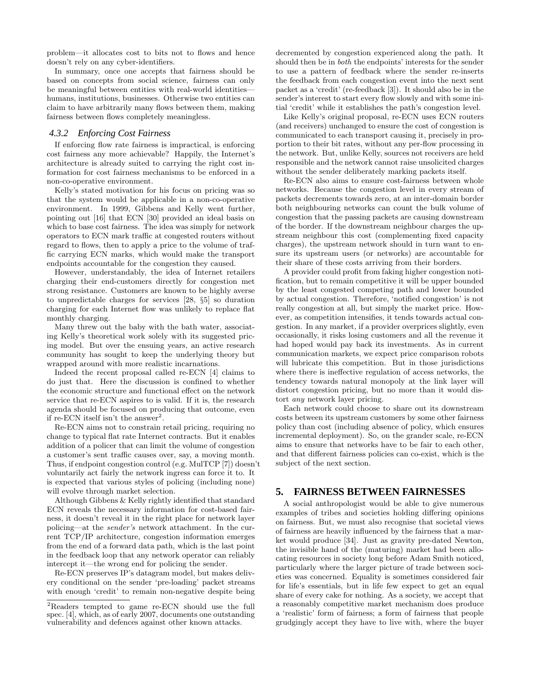problem—it allocates cost to bits not to flows and hence doesn't rely on any cyber-identifiers.

In summary, once one accepts that fairness should be based on concepts from social science, fairness can only be meaningful between entities with real-world identities humans, institutions, businesses. Otherwise two entities can claim to have arbitrarily many flows between them, making fairness between flows completely meaningless.

#### *4.3.2 Enforcing Cost Fairness*

If enforcing flow rate fairness is impractical, is enforcing cost fairness any more achievable? Happily, the Internet's architecture is already suited to carrying the right cost information for cost fairness mechanisms to be enforced in a non-co-operative environment.

Kelly's stated motivation for his focus on pricing was so that the system would be applicable in a non-co-operative environment. In 1999, Gibbens and Kelly went further, pointing out [16] that ECN [30] provided an ideal basis on which to base cost fairness. The idea was simply for network operators to ECN mark traffic at congested routers without regard to flows, then to apply a price to the volume of traffic carrying ECN marks, which would make the transport endpoints accountable for the congestion they caused.

However, understandably, the idea of Internet retailers charging their end-customers directly for congestion met strong resistance. Customers are known to be highly averse to unpredictable charges for services [28, §5] so duration charging for each Internet flow was unlikely to replace flat monthly charging.

Many threw out the baby with the bath water, associating Kelly's theoretical work solely with its suggested pricing model. But over the ensuing years, an active research community has sought to keep the underlying theory but wrapped around with more realistic incarnations.

Indeed the recent proposal called re-ECN [4] claims to do just that. Here the discussion is confined to whether the economic structure and functional effect on the network service that re-ECN aspires to is valid. If it is, the research agenda should be focused on producing that outcome, even if re-ECN itself isn't the answer<sup>2</sup>.

Re-ECN aims not to constrain retail pricing, requiring no change to typical flat rate Internet contracts. But it enables addition of a policer that can limit the volume of congestion a customer's sent traffic causes over, say, a moving month. Thus, if endpoint congestion control (e.g. MulTCP [7]) doesn't voluntarily act fairly the network ingress can force it to. It is expected that various styles of policing (including none) will evolve through market selection.

Although Gibbens & Kelly rightly identified that standard ECN reveals the necessary information for cost-based fairness, it doesn't reveal it in the right place for network layer policing—at the sender's network attachment. In the current TCP/IP architecture, congestion information emerges from the end of a forward data path, which is the last point in the feedback loop that any network operator can reliably intercept it—the wrong end for policing the sender.

Re-ECN preserves IP's datagram model, but makes delivery conditional on the sender 'pre-loading' packet streams with enough 'credit' to remain non-negative despite being decremented by congestion experienced along the path. It should then be in both the endpoints' interests for the sender to use a pattern of feedback where the sender re-inserts the feedback from each congestion event into the next sent packet as a 'credit' (re-feedback [3]). It should also be in the sender's interest to start every flow slowly and with some initial 'credit' while it establishes the path's congestion level.

Like Kelly's original proposal, re-ECN uses ECN routers (and receivers) unchanged to ensure the cost of congestion is communicated to each transport causing it, precisely in proportion to their bit rates, without any per-flow processing in the network. But, unlike Kelly, sources not receivers are held responsible and the network cannot raise unsolicited charges without the sender deliberately marking packets itself.

Re-ECN also aims to ensure cost-fairness between whole networks. Because the congestion level in every stream of packets decrements towards zero, at an inter-domain border both neighbouring networks can count the bulk volume of congestion that the passing packets are causing downstream of the border. If the downstream neighbour charges the upstream neighbour this cost (complementing fixed capacity charges), the upstream network should in turn want to ensure its upstream users (or networks) are accountable for their share of these costs arriving from their borders.

A provider could profit from faking higher congestion notification, but to remain competitive it will be upper bounded by the least congested competing path and lower bounded by actual congestion. Therefore, 'notified congestion' is not really congestion at all, but simply the market price. However, as competition intensifies, it tends towards actual congestion. In any market, if a provider overprices slightly, even occasionally, it risks losing customers and all the revenue it had hoped would pay back its investments. As in current communication markets, we expect price comparison robots will lubricate this competition. But in those jurisdictions where there is ineffective regulation of access networks, the tendency towards natural monopoly at the link layer will distort congestion pricing, but no more than it would distort any network layer pricing.

Each network could choose to share out its downstream costs between its upstream customers by some other fairness policy than cost (including absence of policy, which ensures incremental deployment). So, on the grander scale, re-ECN aims to ensure that networks have to be fair to each other, and that different fairness policies can co-exist, which is the subject of the next section.

## **5. FAIRNESS BETWEEN FAIRNESSES**

A social anthropologist would be able to give numerous examples of tribes and societies holding differing opinions on fairness. But, we must also recognise that societal views of fairness are heavily influenced by the fairness that a market would produce [34]. Just as gravity pre-dated Newton, the invisible hand of the (maturing) market had been allocating resources in society long before Adam Smith noticed, particularly where the larger picture of trade between societies was concerned. Equality is sometimes considered fair for life's essentials, but in life few expect to get an equal share of every cake for nothing. As a society, we accept that a reasonably competitive market mechanism does produce a 'realistic' form of fairness; a form of fairness that people grudgingly accept they have to live with, where the buyer

<sup>2</sup>Readers tempted to game re-ECN should use the full spec. [4], which, as of early 2007, documents one outstanding vulnerability and defences against other known attacks.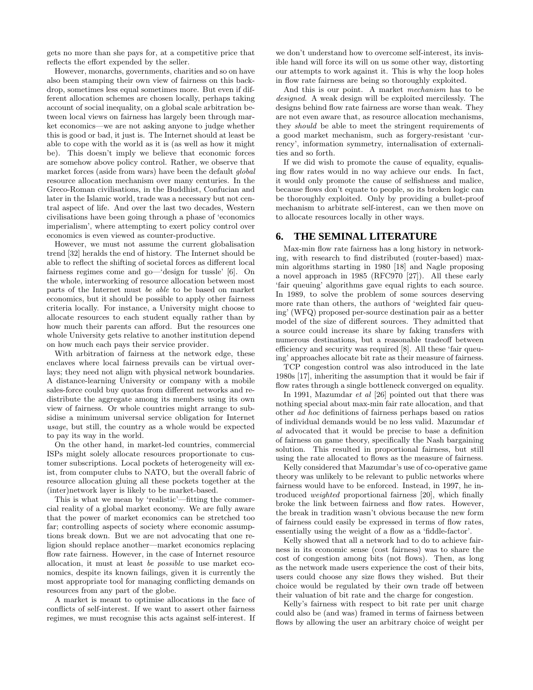gets no more than she pays for, at a competitive price that reflects the effort expended by the seller.

However, monarchs, governments, charities and so on have also been stamping their own view of fairness on this backdrop, sometimes less equal sometimes more. But even if different allocation schemes are chosen locally, perhaps taking account of social inequality, on a global scale arbitration between local views on fairness has largely been through market economics—we are not asking anyone to judge whether this is good or bad, it just is. The Internet should at least be able to cope with the world as it is (as well as how it might be). This doesn't imply we believe that economic forces are somehow above policy control. Rather, we observe that market forces (aside from wars) have been the default global resource allocation mechanism over many centuries. In the Greco-Roman civilisations, in the Buddhist, Confucian and later in the Islamic world, trade was a necessary but not central aspect of life. And over the last two decades, Western civilisations have been going through a phase of 'economics imperialism', where attempting to exert policy control over economics is even viewed as counter-productive.

However, we must not assume the current globalisation trend [32] heralds the end of history. The Internet should be able to reflect the shifting of societal forces as different local fairness regimes come and go—'design for tussle' [6]. On the whole, interworking of resource allocation between most parts of the Internet must be able to be based on market economics, but it should be possible to apply other fairness criteria locally. For instance, a University might choose to allocate resources to each student equally rather than by how much their parents can afford. But the resources one whole University gets relative to another institution depend on how much each pays their service provider.

With arbitration of fairness at the network edge, these enclaves where local fairness prevails can be virtual overlays; they need not align with physical network boundaries. A distance-learning University or company with a mobile sales-force could buy quotas from different networks and redistribute the aggregate among its members using its own view of fairness. Or whole countries might arrange to subsidise a minimum universal service obligation for Internet usage, but still, the country as a whole would be expected to pay its way in the world.

On the other hand, in market-led countries, commercial ISPs might solely allocate resources proportionate to customer subscriptions. Local pockets of heterogeneity will exist, from computer clubs to NATO, but the overall fabric of resource allocation gluing all these pockets together at the (inter)network layer is likely to be market-based.

This is what we mean by 'realistic'—fitting the commercial reality of a global market economy. We are fully aware that the power of market economics can be stretched too far; controlling aspects of society where economic assumptions break down. But we are not advocating that one religion should replace another—market economics replacing flow rate fairness. However, in the case of Internet resource allocation, it must at least be possible to use market economics, despite its known failings, given it is currently the most appropriate tool for managing conflicting demands on resources from any part of the globe.

A market is meant to optimise allocations in the face of conflicts of self-interest. If we want to assert other fairness regimes, we must recognise this acts against self-interest. If we don't understand how to overcome self-interest, its invisible hand will force its will on us some other way, distorting our attempts to work against it. This is why the loop holes in flow rate fairness are being so thoroughly exploited.

And this is our point. A market mechanism has to be designed. A weak design will be exploited mercilessly. The designs behind flow rate fairness are worse than weak. They are not even aware that, as resource allocation mechanisms, they should be able to meet the stringent requirements of a good market mechanism, such as forgery-resistant 'currency', information symmetry, internalisation of externalities and so forth.

If we did wish to promote the cause of equality, equalising flow rates would in no way achieve our ends. In fact, it would only promote the cause of selfishness and malice, because flows don't equate to people, so its broken logic can be thoroughly exploited. Only by providing a bullet-proof mechanism to arbitrate self-interest, can we then move on to allocate resources locally in other ways.

## **6. THE SEMINAL LITERATURE**

Max-min flow rate fairness has a long history in networking, with research to find distributed (router-based) maxmin algorithms starting in 1980 [18] and Nagle proposing a novel approach in 1985 (RFC970 [27]). All these early 'fair queuing' algorithms gave equal rights to each source. In 1989, to solve the problem of some sources deserving more rate than others, the authors of 'weighted fair queuing' (WFQ) proposed per-source destination pair as a better model of the size of different sources. They admitted that a source could increase its share by faking transfers with numerous destinations, but a reasonable tradeoff between efficiency and security was required [8]. All these 'fair queuing' approaches allocate bit rate as their measure of fairness.

TCP congestion control was also introduced in the late 1980s [17], inheriting the assumption that it would be fair if flow rates through a single bottleneck converged on equality.

In 1991, Mazumdar et al [26] pointed out that there was nothing special about max-min fair rate allocation, and that other ad hoc definitions of fairness perhaps based on ratios of individual demands would be no less valid. Mazumdar et al advocated that it would be precise to base a definition of fairness on game theory, specifically the Nash bargaining solution. This resulted in proportional fairness, but still using the rate allocated to flows as the measure of fairness.

Kelly considered that Mazumdar's use of co-operative game theory was unlikely to be relevant to public networks where fairness would have to be enforced. Instead, in 1997, he introduced weighted proportional fairness [20], which finally broke the link between fairness and flow rates. However, the break in tradition wasn't obvious because the new form of fairness could easily be expressed in terms of flow rates, essentially using the weight of a flow as a 'fiddle-factor'.

Kelly showed that all a network had to do to achieve fairness in its economic sense (cost fairness) was to share the cost of congestion among bits (not flows). Then, as long as the network made users experience the cost of their bits, users could choose any size flows they wished. But their choice would be regulated by their own trade off between their valuation of bit rate and the charge for congestion.

Kelly's fairness with respect to bit rate per unit charge could also be (and was) framed in terms of fairness between flows by allowing the user an arbitrary choice of weight per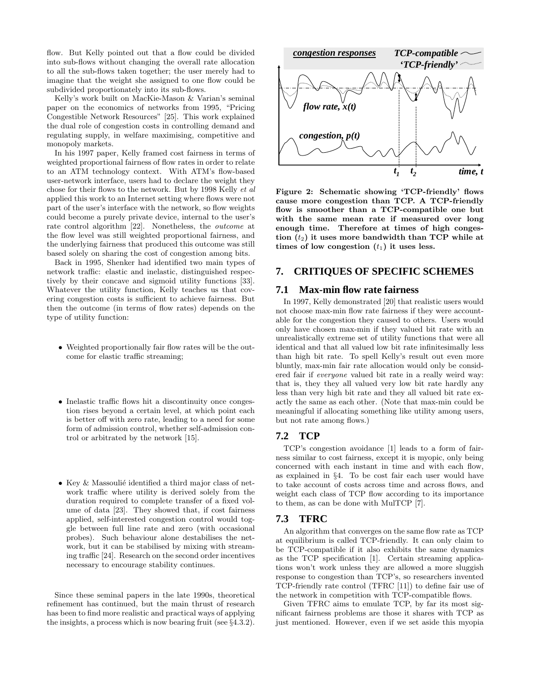flow. But Kelly pointed out that a flow could be divided into sub-flows without changing the overall rate allocation to all the sub-flows taken together; the user merely had to imagine that the weight she assigned to one flow could be subdivided proportionately into its sub-flows.

Kelly's work built on MacKie-Mason & Varian's seminal paper on the economics of networks from 1995, "Pricing Congestible Network Resources" [25]. This work explained the dual role of congestion costs in controlling demand and regulating supply, in welfare maximising, competitive and monopoly markets.

In his 1997 paper, Kelly framed cost fairness in terms of weighted proportional fairness of flow rates in order to relate to an ATM technology context. With ATM's flow-based user-network interface, users had to declare the weight they chose for their flows to the network. But by 1998 Kelly et al applied this work to an Internet setting where flows were not part of the user's interface with the network, so flow weights could become a purely private device, internal to the user's rate control algorithm [22]. Nonetheless, the outcome at the flow level was still weighted proportional fairness, and the underlying fairness that produced this outcome was still based solely on sharing the cost of congestion among bits.

Back in 1995, Shenker had identified two main types of network traffic: elastic and inelastic, distinguished respectively by their concave and sigmoid utility functions [33]. Whatever the utility function, Kelly teaches us that covering congestion costs is sufficient to achieve fairness. But then the outcome (in terms of flow rates) depends on the type of utility function:

- Weighted proportionally fair flow rates will be the outcome for elastic traffic streaming;
- Inelastic traffic flows hit a discontinuity once congestion rises beyond a certain level, at which point each is better off with zero rate, leading to a need for some form of admission control, whether self-admission control or arbitrated by the network [15].
- Key  $&$  Massoulié identified a third major class of network traffic where utility is derived solely from the duration required to complete transfer of a fixed volume of data [23]. They showed that, if cost fairness applied, self-interested congestion control would toggle between full line rate and zero (with occasional probes). Such behaviour alone destabilises the network, but it can be stabilised by mixing with streaming traffic [24]. Research on the second order incentives necessary to encourage stability continues.

Since these seminal papers in the late 1990s, theoretical refinement has continued, but the main thrust of research has been to find more realistic and practical ways of applying the insights, a process which is now bearing fruit (see §4.3.2).



Figure 2: Schematic showing 'TCP-friendly' flows cause more congestion than TCP. A TCP-friendly flow is smoother than a TCP-compatible one but with the same mean rate if measured over long enough time. Therefore at times of high congestion  $(t_2)$  it uses more bandwidth than TCP while at times of low congestion  $(t_1)$  it uses less.

## **7. CRITIQUES OF SPECIFIC SCHEMES**

## **7.1 Max-min flow rate fairness**

In 1997, Kelly demonstrated [20] that realistic users would not choose max-min flow rate fairness if they were accountable for the congestion they caused to others. Users would only have chosen max-min if they valued bit rate with an unrealistically extreme set of utility functions that were all identical and that all valued low bit rate infinitesimally less than high bit rate. To spell Kelly's result out even more bluntly, max-min fair rate allocation would only be considered fair if everyone valued bit rate in a really weird way: that is, they they all valued very low bit rate hardly any less than very high bit rate and they all valued bit rate exactly the same as each other. (Note that max-min could be meaningful if allocating something like utility among users, but not rate among flows.)

## **7.2 TCP**

TCP's congestion avoidance [1] leads to a form of fairness similar to cost fairness, except it is myopic, only being concerned with each instant in time and with each flow, as explained in §4. To be cost fair each user would have to take account of costs across time and across flows, and weight each class of TCP flow according to its importance to them, as can be done with MulTCP [7].

### **7.3 TFRC**

An algorithm that converges on the same flow rate as TCP at equilibrium is called TCP-friendly. It can only claim to be TCP-compatible if it also exhibits the same dynamics as the TCP specification [1]. Certain streaming applications won't work unless they are allowed a more sluggish response to congestion than TCP's, so researchers invented TCP-friendly rate control (TFRC [11]) to define fair use of the network in competition with TCP-compatible flows.

Given TFRC aims to emulate TCP, by far its most significant fairness problems are those it shares with TCP as just mentioned. However, even if we set aside this myopia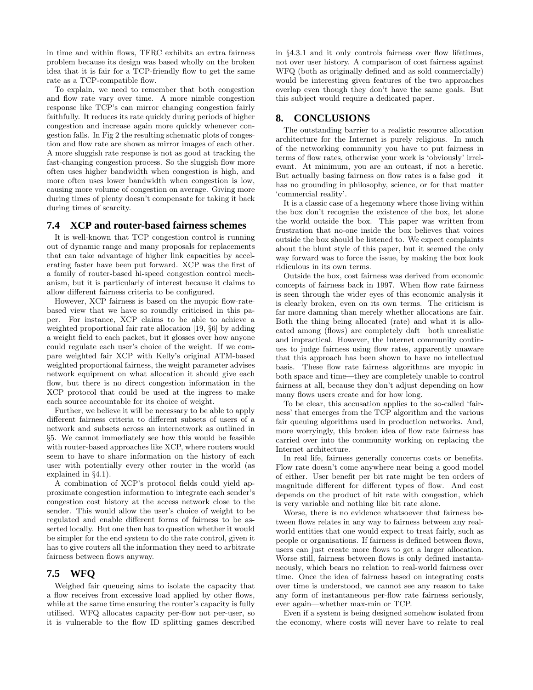in time and within flows, TFRC exhibits an extra fairness problem because its design was based wholly on the broken idea that it is fair for a TCP-friendly flow to get the same rate as a TCP-compatible flow.

To explain, we need to remember that both congestion and flow rate vary over time. A more nimble congestion response like TCP's can mirror changing congestion fairly faithfully. It reduces its rate quickly during periods of higher congestion and increase again more quickly whenever congestion falls. In Fig 2 the resulting schematic plots of congestion and flow rate are shown as mirror images of each other. A more sluggish rate response is not as good at tracking the fast-changing congestion process. So the sluggish flow more often uses higher bandwidth when congestion is high, and more often uses lower bandwidth when congestion is low, causing more volume of congestion on average. Giving more during times of plenty doesn't compensate for taking it back during times of scarcity.

### **7.4 XCP and router-based fairness schemes**

It is well-known that TCP congestion control is running out of dynamic range and many proposals for replacements that can take advantage of higher link capacities by accelerating faster have been put forward. XCP was the first of a family of router-based hi-speed congestion control mechanism, but it is particularly of interest because it claims to allow different fairness criteria to be configured.

However, XCP fairness is based on the myopic flow-ratebased view that we have so roundly criticised in this paper. For instance, XCP claims to be able to achieve a weighted proportional fair rate allocation [19, §6] by adding a weight field to each packet, but it glosses over how anyone could regulate each user's choice of the weight. If we compare weighted fair XCP with Kelly's original ATM-based weighted proportional fairness, the weight parameter advises network equipment on what allocation it should give each flow, but there is no direct congestion information in the XCP protocol that could be used at the ingress to make each source accountable for its choice of weight.

Further, we believe it will be necessary to be able to apply different fairness criteria to different subsets of users of a network and subsets across an internetwork as outlined in §5. We cannot immediately see how this would be feasible with router-based approaches like XCP, where routers would seem to have to share information on the history of each user with potentially every other router in the world (as explained in §4.1).

A combination of XCP's protocol fields could yield approximate congestion information to integrate each sender's congestion cost history at the access network close to the sender. This would allow the user's choice of weight to be regulated and enable different forms of fairness to be asserted locally. But one then has to question whether it would be simpler for the end system to do the rate control, given it has to give routers all the information they need to arbitrate fairness between flows anyway.

## **7.5 WFQ**

Weighed fair queueing aims to isolate the capacity that a flow receives from excessive load applied by other flows, while at the same time ensuring the router's capacity is fully utilised. WFQ allocates capacity per-flow not per-user, so it is vulnerable to the flow ID splitting games described

in §4.3.1 and it only controls fairness over flow lifetimes, not over user history. A comparison of cost fairness against WFQ (both as originally defined and as sold commercially) would be interesting given features of the two approaches overlap even though they don't have the same goals. But this subject would require a dedicated paper.

## **8. CONCLUSIONS**

The outstanding barrier to a realistic resource allocation architecture for the Internet is purely religious. In much of the networking community you have to put fairness in terms of flow rates, otherwise your work is 'obviously' irrelevant. At minimum, you are an outcast, if not a heretic. But actually basing fairness on flow rates is a false god—it has no grounding in philosophy, science, or for that matter 'commercial reality'.

It is a classic case of a hegemony where those living within the box don't recognise the existence of the box, let alone the world outside the box. This paper was written from frustration that no-one inside the box believes that voices outside the box should be listened to. We expect complaints about the blunt style of this paper, but it seemed the only way forward was to force the issue, by making the box look ridiculous in its own terms.

Outside the box, cost fairness was derived from economic concepts of fairness back in 1997. When flow rate fairness is seen through the wider eyes of this economic analysis it is clearly broken, even on its own terms. The criticism is far more damning than merely whether allocations are fair. Both the thing being allocated (rate) and what it is allocated among (flows) are completely daft—both unrealistic and impractical. However, the Internet community continues to judge fairness using flow rates, apparently unaware that this approach has been shown to have no intellectual basis. These flow rate fairness algorithms are myopic in both space and time—they are completely unable to control fairness at all, because they don't adjust depending on how many flows users create and for how long.

To be clear, this accusation applies to the so-called 'fairness' that emerges from the TCP algorithm and the various fair queuing algorithms used in production networks. And, more worryingly, this broken idea of flow rate fairness has carried over into the community working on replacing the Internet architecture.

In real life, fairness generally concerns costs or benefits. Flow rate doesn't come anywhere near being a good model of either. User benefit per bit rate might be ten orders of magnitude different for different types of flow. And cost depends on the product of bit rate with congestion, which is very variable and nothing like bit rate alone.

Worse, there is no evidence whatsoever that fairness between flows relates in any way to fairness between any realworld entities that one would expect to treat fairly, such as people or organisations. If fairness is defined between flows, users can just create more flows to get a larger allocation. Worse still, fairness between flows is only defined instantaneously, which bears no relation to real-world fairness over time. Once the idea of fairness based on integrating costs over time is understood, we cannot see any reason to take any form of instantaneous per-flow rate fairness seriously, ever again—whether max-min or TCP.

Even if a system is being designed somehow isolated from the economy, where costs will never have to relate to real